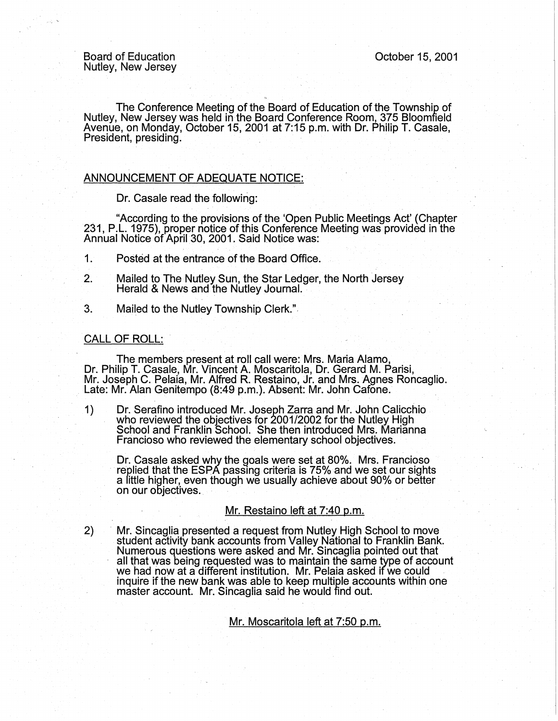Board of Education Nutley, New Jersey October 15, 2001

The Conference Meeting of the Board of Education of the Township of Nutley, New Jersey was held in the Board Conference Room, 375 Bloomfield Avenue, on Monday, October 15, 2001 at 7:15 p.m. with Dr. Philip T. Casale, President, presiding.

# ANNOUNCEMENT OF ADEQUATE NOTICE:

Dr. Casale read the following:

. "According to the provisions of the 'Open Public Meetings Act' (Chapter 231, P.L. 1975), proper notice of this Conference Meeting was provided in the Annual Notice of April 30, 2001. Said Notice was:

- 1. Posted at the entrance of the Board Office.
- 2. Mailed to The Nutley Sun, the Star Ledger, the North Jersey Herald & News and the Nutley Journal. .
- 3. Mailed to the Nutley Township Clerk."

#### CALL OF ROLL:

2)

The members present at roll call were: Mrs. Maria Alamo, Dr. Philip T. Casale, Mr. Vincent A. Moscaritola, Dr. Gerard M. Parisi,<br>Mr. Joseph C. Pelaia, Mr. Alfred R. Restaino, Jr. and Mrs. Agnes Roncaglio. Late: Mr. Alan Genitempo (8:49 p.m.). Absent: Mr. John Cafone. \_

1) Dr. Serafino introduced Mr. Joseph Zarra and Mr. John Calicchio who reviewed the objectives for 2001/2002 for the Nutley High School and Franklin School. She then introduced Mrs. Marianna Francioso who reviewed the elementary school objectives.

Dr. Casale asked why the goals were set at 80%. Mrs. Francioso replied that the ESPA passing criteria is 75% and we set our sights a little higher, even though we usually achieve about 90% or better on our objectives.

# Mr. Restaino left at 7:40 p.m.

· Mr. Sincaglia presented a request from Nutley High School to move student activity bank accounts from Valley National to Franklin Bank. Numerous questions were asked and Mr. Sincaglia pointed out that all that was being requested was to maintain the same type of account we had now at a different institution. Mr. Pelaia asked if we could we had now at a different institution. Mr. Pelaia asked if we could<br>inquire if the new bank was able to keep multiple accounts within one master account. Mr.· Sincaglia said he would find out.

Mr. Moscaritola left at 7:50 p.m.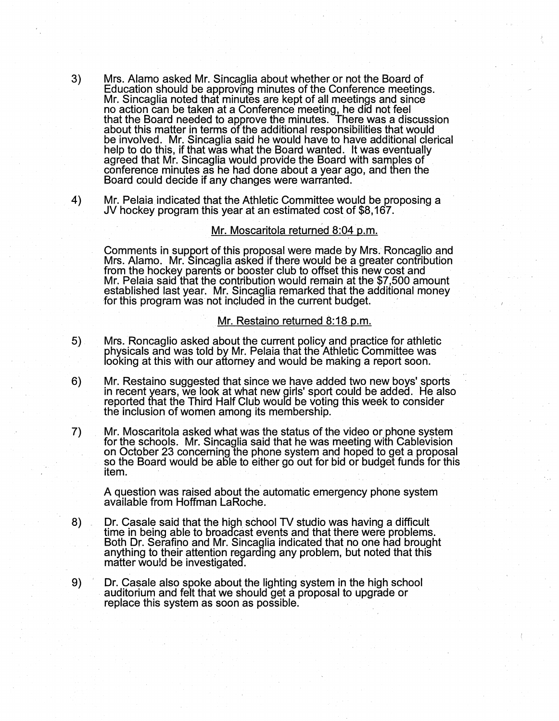- 3) Mrs. Alamo asked Mr. Sincaglia about whether or not the Board of Education should be approving minutes of the Conference meetings. Mr. Sincaglia noted that minutes are kept of all meetings and since no action can be taken at a Conference meeting, he did not feel that the Board needed to approve the minutes. There was a discussion about this matter in terms of the additional responsibilities that would be involved. Mr. Sincaglia said he would have to have additional clerical help to do this, if that was what the Board wanted. It was eventually agreed that Mr. Sincaglia would provide the Board with samples of conference minutes as he had done about a year ago, and then the Board could decide if any changes were warranted.
- 4) Mr. Pelaia indicated that the Athletic Committee would be proposing a JV hockey program this year at an estimated cost of \$8,167.

### Mr. Moscaritola returned 8:04 p.m.

Comments in support of this proposal were made by Mrs. Roncaglio and Mrs. Alamo. Mr. Sincaglia asked if there would be a greater contribution from the hockey parents or booster club to offset this new cost and Mr. Pelaia said that the contribution would remain at the \$7,500 amount established last year. Mr. Sincaglia remarked that the additional money for this program was not included in the current budget.  $\qquad \qquad$ 

#### Mr. Restaino returned 8:18 p.m.

- 5) Mrs. Roncaglio asked about the current policy and practice for athletic physicals and was told by Mr. Pelaia that the Athletic Committee was looking at this with our attorney and would be making a report soon.
- 6) Mr. Restaino suggested that since we have added two new boys' sports in recent years, we look at what new girls' sport could be added. He also reported that the Third Half Club wourd be voting this week to consider the inclusion of women among its membership.
- 7) Mr. Moscaritola asked what was the status of the video or phone system for the schools. Mr. Sincaglia said that he was meeting with Cablevision on October 23 concerning the phone system and hoped to get a proposal so the Board would be able to either go out for bid or budget funds for this item.

A question was raised about the automatic emergency phone system available from Hoffman LaRoche.

- 8) Dr. Casale said that the high school TV studio was having a difficult time in being able to broadcast events and that there were problems. Both Dr. Serafino and Mr. Sincaglia indicated that no one had brought anything to their attention regarding any problem, but noted that this matter would be investigated.
- 9) Dr. Casale also spoke about the lighting system in the high school auditorium and felt that we should get a proposal to upgrade or replace this system as soon as possible.